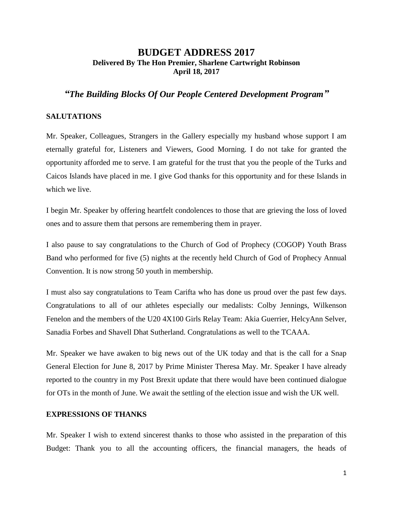# **BUDGET ADDRESS 2017 Delivered By The Hon Premier, Sharlene Cartwright Robinson April 18, 2017**

# *"The Building Blocks Of Our People Centered Development Program"*

## **SALUTATIONS**

Mr. Speaker, Colleagues, Strangers in the Gallery especially my husband whose support I am eternally grateful for, Listeners and Viewers, Good Morning. I do not take for granted the opportunity afforded me to serve. I am grateful for the trust that you the people of the Turks and Caicos Islands have placed in me. I give God thanks for this opportunity and for these Islands in which we live.

I begin Mr. Speaker by offering heartfelt condolences to those that are grieving the loss of loved ones and to assure them that persons are remembering them in prayer.

I also pause to say congratulations to the Church of God of Prophecy (COGOP) Youth Brass Band who performed for five (5) nights at the recently held Church of God of Prophecy Annual Convention. It is now strong 50 youth in membership.

I must also say congratulations to Team Carifta who has done us proud over the past few days. Congratulations to all of our athletes especially our medalists: Colby Jennings, Wilkenson Fenelon and the members of the U20 4X100 Girls Relay Team: Akia Guerrier, HelcyAnn Selver, Sanadia Forbes and Shavell Dhat Sutherland. Congratulations as well to the TCAAA.

Mr. Speaker we have awaken to big news out of the UK today and that is the call for a Snap General Election for June 8, 2017 by Prime Minister Theresa May. Mr. Speaker I have already reported to the country in my Post Brexit update that there would have been continued dialogue for OTs in the month of June. We await the settling of the election issue and wish the UK well.

## **EXPRESSIONS OF THANKS**

Mr. Speaker I wish to extend sincerest thanks to those who assisted in the preparation of this Budget: Thank you to all the accounting officers, the financial managers, the heads of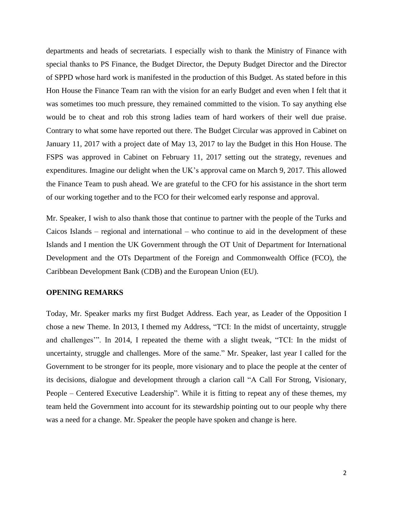departments and heads of secretariats. I especially wish to thank the Ministry of Finance with special thanks to PS Finance, the Budget Director, the Deputy Budget Director and the Director of SPPD whose hard work is manifested in the production of this Budget. As stated before in this Hon House the Finance Team ran with the vision for an early Budget and even when I felt that it was sometimes too much pressure, they remained committed to the vision. To say anything else would be to cheat and rob this strong ladies team of hard workers of their well due praise. Contrary to what some have reported out there. The Budget Circular was approved in Cabinet on January 11, 2017 with a project date of May 13, 2017 to lay the Budget in this Hon House. The FSPS was approved in Cabinet on February 11, 2017 setting out the strategy, revenues and expenditures. Imagine our delight when the UK's approval came on March 9, 2017. This allowed the Finance Team to push ahead. We are grateful to the CFO for his assistance in the short term of our working together and to the FCO for their welcomed early response and approval.

Mr. Speaker, I wish to also thank those that continue to partner with the people of the Turks and Caicos Islands – regional and international – who continue to aid in the development of these Islands and I mention the UK Government through the OT Unit of Department for International Development and the OTs Department of the Foreign and Commonwealth Office (FCO), the Caribbean Development Bank (CDB) and the European Union (EU).

### **OPENING REMARKS**

Today, Mr. Speaker marks my first Budget Address. Each year, as Leader of the Opposition I chose a new Theme. In 2013, I themed my Address, "TCI: In the midst of uncertainty, struggle and challenges'". In 2014, I repeated the theme with a slight tweak, "TCI: In the midst of uncertainty, struggle and challenges. More of the same." Mr. Speaker, last year I called for the Government to be stronger for its people, more visionary and to place the people at the center of its decisions, dialogue and development through a clarion call "A Call For Strong, Visionary, People – Centered Executive Leadership". While it is fitting to repeat any of these themes, my team held the Government into account for its stewardship pointing out to our people why there was a need for a change. Mr. Speaker the people have spoken and change is here.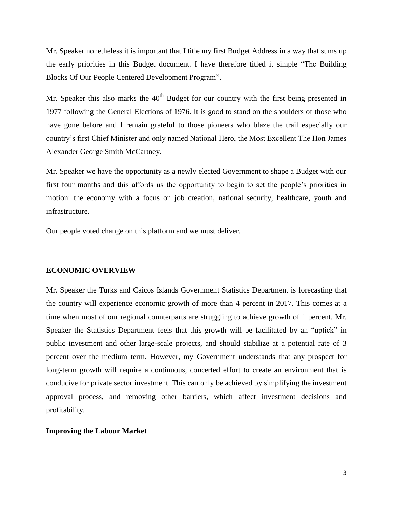Mr. Speaker nonetheless it is important that I title my first Budget Address in a way that sums up the early priorities in this Budget document. I have therefore titled it simple "The Building Blocks Of Our People Centered Development Program".

Mr. Speaker this also marks the  $40<sup>th</sup>$  Budget for our country with the first being presented in 1977 following the General Elections of 1976. It is good to stand on the shoulders of those who have gone before and I remain grateful to those pioneers who blaze the trail especially our country's first Chief Minister and only named National Hero, the Most Excellent The Hon James Alexander George Smith McCartney.

Mr. Speaker we have the opportunity as a newly elected Government to shape a Budget with our first four months and this affords us the opportunity to begin to set the people's priorities in motion: the economy with a focus on job creation, national security, healthcare, youth and infrastructure.

Our people voted change on this platform and we must deliver.

#### **ECONOMIC OVERVIEW**

Mr. Speaker the Turks and Caicos Islands Government Statistics Department is forecasting that the country will experience economic growth of more than 4 percent in 2017. This comes at a time when most of our regional counterparts are struggling to achieve growth of 1 percent. Mr. Speaker the Statistics Department feels that this growth will be facilitated by an "uptick" in public investment and other large-scale projects, and should stabilize at a potential rate of 3 percent over the medium term. However, my Government understands that any prospect for long-term growth will require a continuous, concerted effort to create an environment that is conducive for private sector investment. This can only be achieved by simplifying the investment approval process, and removing other barriers, which affect investment decisions and profitability.

### **Improving the Labour Market**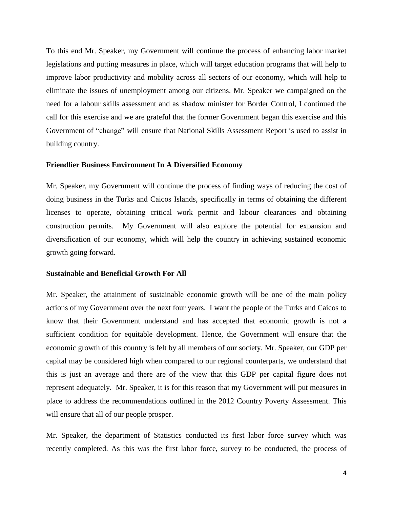To this end Mr. Speaker, my Government will continue the process of enhancing labor market legislations and putting measures in place, which will target education programs that will help to improve labor productivity and mobility across all sectors of our economy, which will help to eliminate the issues of unemployment among our citizens. Mr. Speaker we campaigned on the need for a labour skills assessment and as shadow minister for Border Control, I continued the call for this exercise and we are grateful that the former Government began this exercise and this Government of "change" will ensure that National Skills Assessment Report is used to assist in building country.

### **Friendlier Business Environment In A Diversified Economy**

Mr. Speaker, my Government will continue the process of finding ways of reducing the cost of doing business in the Turks and Caicos Islands, specifically in terms of obtaining the different licenses to operate, obtaining critical work permit and labour clearances and obtaining construction permits. My Government will also explore the potential for expansion and diversification of our economy, which will help the country in achieving sustained economic growth going forward.

### **Sustainable and Beneficial Growth For All**

Mr. Speaker, the attainment of sustainable economic growth will be one of the main policy actions of my Government over the next four years. I want the people of the Turks and Caicos to know that their Government understand and has accepted that economic growth is not a sufficient condition for equitable development. Hence, the Government will ensure that the economic growth of this country is felt by all members of our society. Mr. Speaker, our GDP per capital may be considered high when compared to our regional counterparts, we understand that this is just an average and there are of the view that this GDP per capital figure does not represent adequately. Mr. Speaker, it is for this reason that my Government will put measures in place to address the recommendations outlined in the 2012 Country Poverty Assessment. This will ensure that all of our people prosper.

Mr. Speaker, the department of Statistics conducted its first labor force survey which was recently completed. As this was the first labor force, survey to be conducted, the process of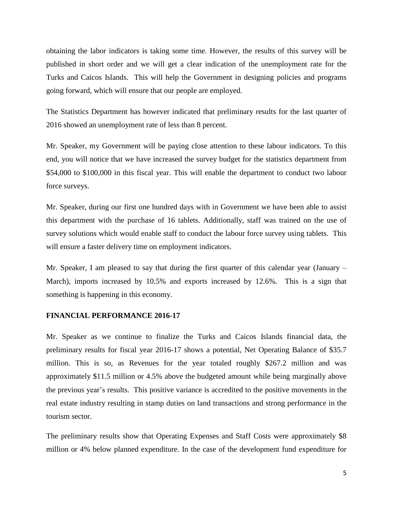obtaining the labor indicators is taking some time. However, the results of this survey will be published in short order and we will get a clear indication of the unemployment rate for the Turks and Caicos Islands. This will help the Government in designing policies and programs going forward, which will ensure that our people are employed.

The Statistics Department has however indicated that preliminary results for the last quarter of 2016 showed an unemployment rate of less than 8 percent.

Mr. Speaker, my Government will be paying close attention to these labour indicators. To this end, you will notice that we have increased the survey budget for the statistics department from \$54,000 to \$100,000 in this fiscal year. This will enable the department to conduct two labour force surveys.

Mr. Speaker, during our first one hundred days with in Government we have been able to assist this department with the purchase of 16 tablets. Additionally, staff was trained on the use of survey solutions which would enable staff to conduct the labour force survey using tablets. This will ensure a faster delivery time on employment indicators.

Mr. Speaker, I am pleased to say that during the first quarter of this calendar year (January – March), imports increased by 10.5% and exports increased by 12.6%. This is a sign that something is happening in this economy.

### **FINANCIAL PERFORMANCE 2016-17**

Mr. Speaker as we continue to finalize the Turks and Caicos Islands financial data, the preliminary results for fiscal year 2016-17 shows a potential, Net Operating Balance of \$35.7 million. This is so, as Revenues for the year totaled roughly \$267.2 million and was approximately \$11.5 million or 4.5% above the budgeted amount while being marginally above the previous year's results. This positive variance is accredited to the positive movements in the real estate industry resulting in stamp duties on land transactions and strong performance in the tourism sector.

The preliminary results show that Operating Expenses and Staff Costs were approximately \$8 million or 4% below planned expenditure. In the case of the development fund expenditure for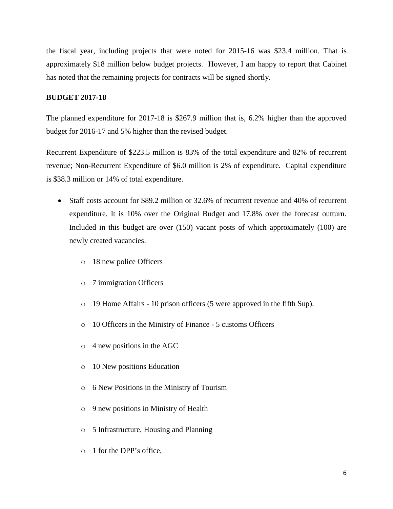the fiscal year, including projects that were noted for 2015-16 was \$23.4 million. That is approximately \$18 million below budget projects. However, I am happy to report that Cabinet has noted that the remaining projects for contracts will be signed shortly.

## **BUDGET 2017-18**

The planned expenditure for 2017-18 is \$267.9 million that is, 6.2% higher than the approved budget for 2016-17 and 5% higher than the revised budget.

Recurrent Expenditure of \$223.5 million is 83% of the total expenditure and 82% of recurrent revenue; Non-Recurrent Expenditure of \$6.0 million is 2% of expenditure. Capital expenditure is \$38.3 million or 14% of total expenditure.

- Staff costs account for \$89.2 million or 32.6% of recurrent revenue and 40% of recurrent expenditure. It is 10% over the Original Budget and 17.8% over the forecast outturn. Included in this budget are over (150) vacant posts of which approximately (100) are newly created vacancies.
	- o 18 new police Officers
	- o 7 immigration Officers
	- o 19 Home Affairs 10 prison officers (5 were approved in the fifth Sup).
	- o 10 Officers in the Ministry of Finance 5 customs Officers
	- o 4 new positions in the AGC
	- o 10 New positions Education
	- o 6 New Positions in the Ministry of Tourism
	- o 9 new positions in Ministry of Health
	- o 5 Infrastructure, Housing and Planning
	- o 1 for the DPP's office,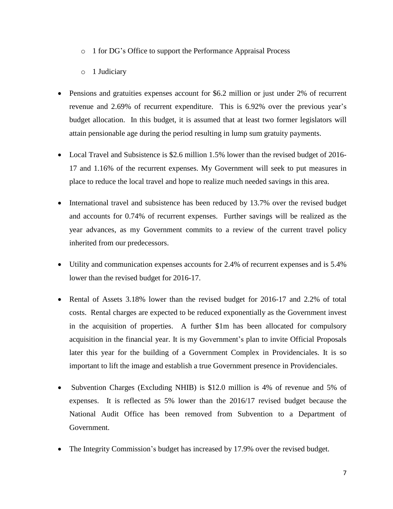- o 1 for DG's Office to support the Performance Appraisal Process
- o 1 Judiciary
- Pensions and gratuities expenses account for \$6.2 million or just under 2% of recurrent revenue and 2.69% of recurrent expenditure. This is 6.92% over the previous year's budget allocation. In this budget, it is assumed that at least two former legislators will attain pensionable age during the period resulting in lump sum gratuity payments.
- Local Travel and Subsistence is \$2.6 million 1.5% lower than the revised budget of 2016-17 and 1.16% of the recurrent expenses. My Government will seek to put measures in place to reduce the local travel and hope to realize much needed savings in this area.
- International travel and subsistence has been reduced by 13.7% over the revised budget and accounts for 0.74% of recurrent expenses. Further savings will be realized as the year advances, as my Government commits to a review of the current travel policy inherited from our predecessors.
- Utility and communication expenses accounts for 2.4% of recurrent expenses and is 5.4% lower than the revised budget for 2016-17.
- Rental of Assets 3.18% lower than the revised budget for 2016-17 and 2.2% of total costs. Rental charges are expected to be reduced exponentially as the Government invest in the acquisition of properties. A further \$1m has been allocated for compulsory acquisition in the financial year. It is my Government's plan to invite Official Proposals later this year for the building of a Government Complex in Providenciales. It is so important to lift the image and establish a true Government presence in Providenciales.
- Subvention Charges (Excluding NHIB) is \$12.0 million is 4% of revenue and 5% of expenses. It is reflected as 5% lower than the 2016/17 revised budget because the National Audit Office has been removed from Subvention to a Department of Government.
- The Integrity Commission's budget has increased by 17.9% over the revised budget.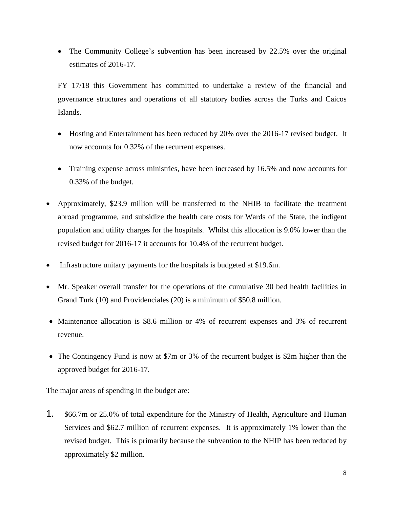• The Community College's subvention has been increased by 22.5% over the original estimates of 2016-17.

FY 17/18 this Government has committed to undertake a review of the financial and governance structures and operations of all statutory bodies across the Turks and Caicos Islands.

- Hosting and Entertainment has been reduced by 20% over the 2016-17 revised budget. It now accounts for 0.32% of the recurrent expenses.
- Training expense across ministries, have been increased by 16.5% and now accounts for 0.33% of the budget.
- Approximately, \$23.9 million will be transferred to the NHIB to facilitate the treatment abroad programme, and subsidize the health care costs for Wards of the State, the indigent population and utility charges for the hospitals. Whilst this allocation is 9.0% lower than the revised budget for 2016-17 it accounts for 10.4% of the recurrent budget.
- Infrastructure unitary payments for the hospitals is budgeted at \$19.6m.
- Mr. Speaker overall transfer for the operations of the cumulative 30 bed health facilities in Grand Turk (10) and Providenciales (20) is a minimum of \$50.8 million.
- Maintenance allocation is \$8.6 million or 4% of recurrent expenses and 3% of recurrent revenue.
- The Contingency Fund is now at \$7m or 3% of the recurrent budget is \$2m higher than the approved budget for 2016-17.

The major areas of spending in the budget are:

1. \$66.7m or 25.0% of total expenditure for the Ministry of Health, Agriculture and Human Services and \$62.7 million of recurrent expenses. It is approximately 1% lower than the revised budget. This is primarily because the subvention to the NHIP has been reduced by approximately \$2 million.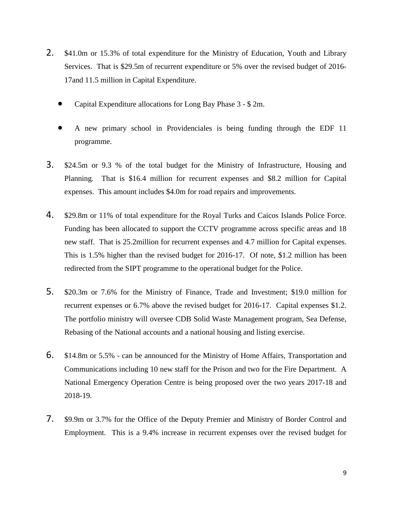- 2. \$41.0m or 15.3% of total expenditure for the Ministry of Education, Youth and Library Services. That is \$29.5m of recurrent expenditure or 5% over the revised budget of 2016- 17and 11.5 million in Capital Expenditure.
	- Capital Expenditure allocations for Long Bay Phase 3 \$ 2m.
	- A new primary school in Providenciales is being funding through the EDF 11 programme.
- 3. \$24.5m or 9.3 % of the total budget for the Ministry of Infrastructure, Housing and Planning. That is \$16.4 million for recurrent expenses and \$8.2 million for Capital expenses. This amount includes \$4.0m for road repairs and improvements.
- 4. \$29.8m or 11% of total expenditure for the Royal Turks and Caicos Islands Police Force. Funding has been allocated to support the CCTV programme across specific areas and 18 new staff. That is 25.2million for recurrent expenses and 4.7 million for Capital expenses. This is 1.5% higher than the revised budget for 2016-17. Of note, \$1.2 million has been redirected from the SIPT programme to the operational budget for the Police.
- 5. \$20.3m or 7.6% for the Ministry of Finance, Trade and Investment; \$19.0 million for recurrent expenses or 6.7% above the revised budget for 2016-17. Capital expenses \$1.2. The portfolio ministry will oversee CDB Solid Waste Management program, Sea Defense, Rebasing of the National accounts and a national housing and listing exercise.
- 6. \$14.8m or 5.5% can be announced for the Ministry of Home Affairs, Transportation and Communications including 10 new staff for the Prison and two for the Fire Department. A National Emergency Operation Centre is being proposed over the two years 2017-18 and 2018-19.
- 7. \$9.9m or 3.7% for the Office of the Deputy Premier and Ministry of Border Control and Employment. This is a 9.4% increase in recurrent expenses over the revised budget for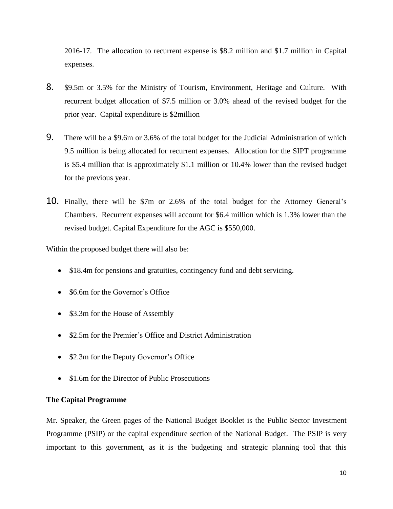2016-17. The allocation to recurrent expense is \$8.2 million and \$1.7 million in Capital expenses.

- 8. \$9.5m or 3.5% for the Ministry of Tourism, Environment, Heritage and Culture. With recurrent budget allocation of \$7.5 million or 3.0% ahead of the revised budget for the prior year. Capital expenditure is \$2million
- 9. There will be a \$9.6m or 3.6% of the total budget for the Judicial Administration of which 9.5 million is being allocated for recurrent expenses. Allocation for the SIPT programme is \$5.4 million that is approximately \$1.1 million or 10.4% lower than the revised budget for the previous year.
- 10. Finally, there will be \$7m or 2.6% of the total budget for the Attorney General's Chambers. Recurrent expenses will account for \$6.4 million which is 1.3% lower than the revised budget. Capital Expenditure for the AGC is \$550,000.

Within the proposed budget there will also be:

- \$18.4m for pensions and gratuities, contingency fund and debt servicing.
- \$6.6m for the Governor's Office
- \$3.3m for the House of Assembly
- \$2.5m for the Premier's Office and District Administration
- \$2.3m for the Deputy Governor's Office
- \$1.6m for the Director of Public Prosecutions

### **The Capital Programme**

Mr. Speaker, the Green pages of the National Budget Booklet is the Public Sector Investment Programme (PSIP) or the capital expenditure section of the National Budget. The PSIP is very important to this government, as it is the budgeting and strategic planning tool that this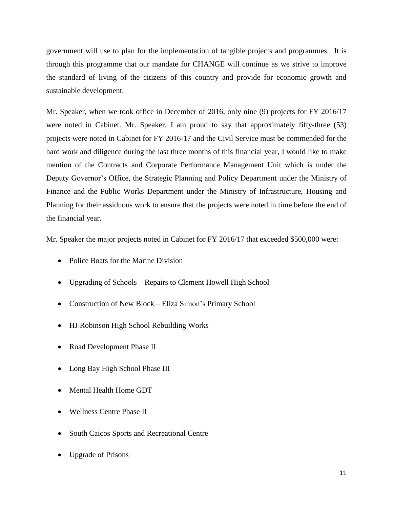government will use to plan for the implementation of tangible projects and programmes. It is through this programme that our mandate for CHANGE will continue as we strive to improve the standard of living of the citizens of this country and provide for economic growth and sustainable development.

Mr. Speaker, when we took office in December of 2016, only nine (9) projects for FY 2016/17 were noted in Cabinet. Mr. Speaker, I am proud to say that approximately fifty-three (53) projects were noted in Cabinet for FY 2016-17 and the Civil Service must be commended for the hard work and diligence during the last three months of this financial year, I would like to make mention of the Contracts and Corporate Performance Management Unit which is under the Deputy Governor's Office, the Strategic Planning and Policy Department under the Ministry of Finance and the Public Works Department under the Ministry of Infrastructure, Housing and Planning for their assiduous work to ensure that the projects were noted in time before the end of the financial year.

Mr. Speaker the major projects noted in Cabinet for FY 2016/17 that exceeded \$500,000 were:

- Police Boats for the Marine Division
- Upgrading of Schools Repairs to Clement Howell High School
- Construction of New Block Eliza Simon's Primary School
- HJ Robinson High School Rebuilding Works
- Road Development Phase II
- Long Bay High School Phase III
- Mental Health Home GDT
- Wellness Centre Phase II
- South Caicos Sports and Recreational Centre
- Upgrade of Prisons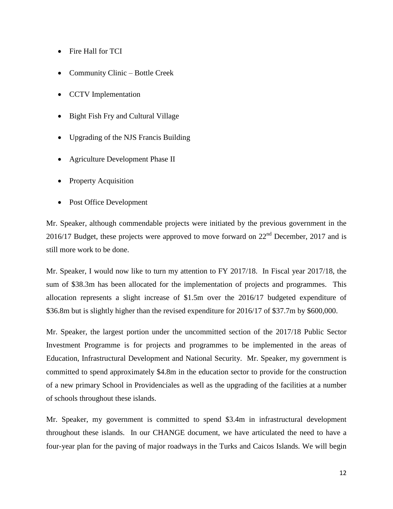- Fire Hall for TCI
- Community Clinic Bottle Creek
- CCTV Implementation
- Bight Fish Fry and Cultural Village
- Upgrading of the NJS Francis Building
- Agriculture Development Phase II
- Property Acquisition
- Post Office Development

Mr. Speaker, although commendable projects were initiated by the previous government in the 2016/17 Budget, these projects were approved to move forward on  $22<sup>nd</sup>$  December, 2017 and is still more work to be done.

Mr. Speaker, I would now like to turn my attention to FY 2017/18. In Fiscal year 2017/18, the sum of \$38.3m has been allocated for the implementation of projects and programmes. This allocation represents a slight increase of \$1.5m over the 2016/17 budgeted expenditure of \$36.8m but is slightly higher than the revised expenditure for 2016/17 of \$37.7m by \$600,000.

Mr. Speaker, the largest portion under the uncommitted section of the 2017/18 Public Sector Investment Programme is for projects and programmes to be implemented in the areas of Education, Infrastructural Development and National Security. Mr. Speaker, my government is committed to spend approximately \$4.8m in the education sector to provide for the construction of a new primary School in Providenciales as well as the upgrading of the facilities at a number of schools throughout these islands.

Mr. Speaker, my government is committed to spend \$3.4m in infrastructural development throughout these islands. In our CHANGE document, we have articulated the need to have a four-year plan for the paving of major roadways in the Turks and Caicos Islands. We will begin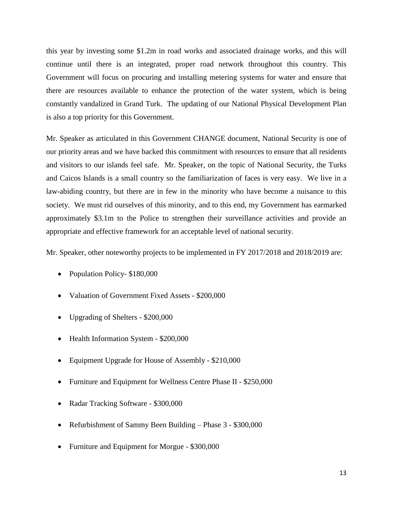this year by investing some \$1.2m in road works and associated drainage works, and this will continue until there is an integrated, proper road network throughout this country. This Government will focus on procuring and installing metering systems for water and ensure that there are resources available to enhance the protection of the water system, which is being constantly vandalized in Grand Turk. The updating of our National Physical Development Plan is also a top priority for this Government.

Mr. Speaker as articulated in this Government CHANGE document, National Security is one of our priority areas and we have backed this commitment with resources to ensure that all residents and visitors to our islands feel safe. Mr. Speaker, on the topic of National Security, the Turks and Caicos Islands is a small country so the familiarization of faces is very easy. We live in a law-abiding country, but there are in few in the minority who have become a nuisance to this society. We must rid ourselves of this minority, and to this end, my Government has earmarked approximately \$3.1m to the Police to strengthen their surveillance activities and provide an appropriate and effective framework for an acceptable level of national security.

Mr. Speaker, other noteworthy projects to be implemented in FY 2017/2018 and 2018/2019 are:

- Population Policy- \$180,000
- Valuation of Government Fixed Assets \$200,000
- Upgrading of Shelters \$200,000
- Health Information System \$200,000
- Equipment Upgrade for House of Assembly \$210,000
- Furniture and Equipment for Wellness Centre Phase II \$250,000
- Radar Tracking Software \$300,000
- Refurbishment of Sammy Been Building Phase 3 \$300,000
- Furniture and Equipment for Morgue \$300,000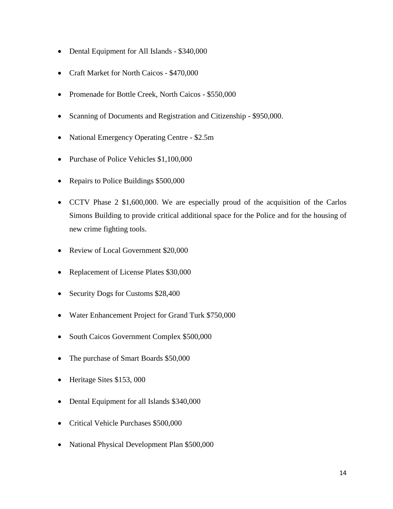- Dental Equipment for All Islands \$340,000
- Craft Market for North Caicos \$470,000
- Promenade for Bottle Creek, North Caicos \$550,000
- Scanning of Documents and Registration and Citizenship \$950,000.
- National Emergency Operating Centre \$2.5m
- Purchase of Police Vehicles \$1,100,000
- Repairs to Police Buildings \$500,000
- CCTV Phase 2 \$1,600,000. We are especially proud of the acquisition of the Carlos Simons Building to provide critical additional space for the Police and for the housing of new crime fighting tools.
- Review of Local Government \$20,000
- Replacement of License Plates \$30,000
- Security Dogs for Customs \$28,400
- Water Enhancement Project for Grand Turk \$750,000
- South Caicos Government Complex \$500,000
- The purchase of Smart Boards \$50,000
- Heritage Sites \$153,000
- Dental Equipment for all Islands \$340,000
- Critical Vehicle Purchases \$500,000
- National Physical Development Plan \$500,000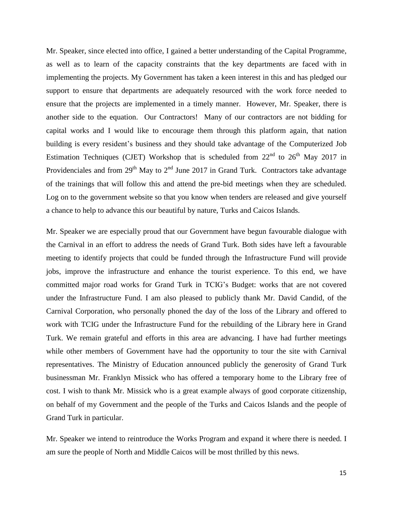Mr. Speaker, since elected into office, I gained a better understanding of the Capital Programme, as well as to learn of the capacity constraints that the key departments are faced with in implementing the projects. My Government has taken a keen interest in this and has pledged our support to ensure that departments are adequately resourced with the work force needed to ensure that the projects are implemented in a timely manner. However, Mr. Speaker, there is another side to the equation. Our Contractors! Many of our contractors are not bidding for capital works and I would like to encourage them through this platform again, that nation building is every resident's business and they should take advantage of the Computerized Job Estimation Techniques (CJET) Workshop that is scheduled from  $22<sup>nd</sup>$  to  $26<sup>th</sup>$  May 2017 in Providenciales and from  $29<sup>th</sup>$  May to  $2<sup>nd</sup>$  June 2017 in Grand Turk. Contractors take advantage of the trainings that will follow this and attend the pre-bid meetings when they are scheduled. Log on to the government website so that you know when tenders are released and give yourself a chance to help to advance this our beautiful by nature, Turks and Caicos Islands.

Mr. Speaker we are especially proud that our Government have begun favourable dialogue with the Carnival in an effort to address the needs of Grand Turk. Both sides have left a favourable meeting to identify projects that could be funded through the Infrastructure Fund will provide jobs, improve the infrastructure and enhance the tourist experience. To this end, we have committed major road works for Grand Turk in TCIG's Budget: works that are not covered under the Infrastructure Fund. I am also pleased to publicly thank Mr. David Candid, of the Carnival Corporation, who personally phoned the day of the loss of the Library and offered to work with TCIG under the Infrastructure Fund for the rebuilding of the Library here in Grand Turk. We remain grateful and efforts in this area are advancing. I have had further meetings while other members of Government have had the opportunity to tour the site with Carnival representatives. The Ministry of Education announced publicly the generosity of Grand Turk businessman Mr. Franklyn Missick who has offered a temporary home to the Library free of cost. I wish to thank Mr. Missick who is a great example always of good corporate citizenship, on behalf of my Government and the people of the Turks and Caicos Islands and the people of Grand Turk in particular.

Mr. Speaker we intend to reintroduce the Works Program and expand it where there is needed. I am sure the people of North and Middle Caicos will be most thrilled by this news.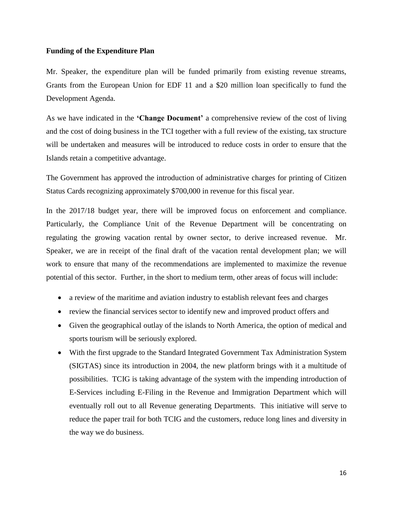### **Funding of the Expenditure Plan**

Mr. Speaker, the expenditure plan will be funded primarily from existing revenue streams, Grants from the European Union for EDF 11 and a \$20 million loan specifically to fund the Development Agenda.

As we have indicated in the **'Change Document'** a comprehensive review of the cost of living and the cost of doing business in the TCI together with a full review of the existing, tax structure will be undertaken and measures will be introduced to reduce costs in order to ensure that the Islands retain a competitive advantage.

The Government has approved the introduction of administrative charges for printing of Citizen Status Cards recognizing approximately \$700,000 in revenue for this fiscal year.

In the 2017/18 budget year, there will be improved focus on enforcement and compliance. Particularly, the Compliance Unit of the Revenue Department will be concentrating on regulating the growing vacation rental by owner sector, to derive increased revenue. Mr. Speaker, we are in receipt of the final draft of the vacation rental development plan; we will work to ensure that many of the recommendations are implemented to maximize the revenue potential of this sector. Further, in the short to medium term, other areas of focus will include:

- a review of the maritime and aviation industry to establish relevant fees and charges
- review the financial services sector to identify new and improved product offers and
- Given the geographical outlay of the islands to North America, the option of medical and sports tourism will be seriously explored.
- With the first upgrade to the Standard Integrated Government Tax Administration System (SIGTAS) since its introduction in 2004, the new platform brings with it a multitude of possibilities. TCIG is taking advantage of the system with the impending introduction of E-Services including E-Filing in the Revenue and Immigration Department which will eventually roll out to all Revenue generating Departments. This initiative will serve to reduce the paper trail for both TCIG and the customers, reduce long lines and diversity in the way we do business.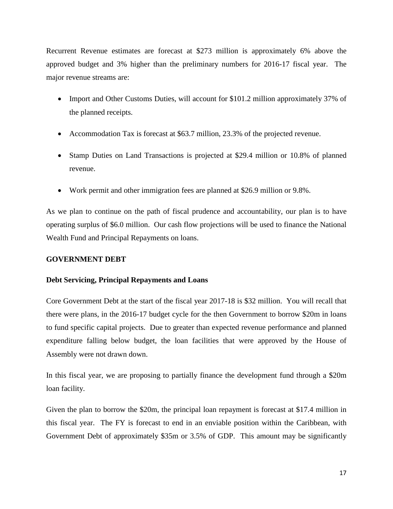Recurrent Revenue estimates are forecast at \$273 million is approximately 6% above the approved budget and 3% higher than the preliminary numbers for 2016-17 fiscal year. The major revenue streams are:

- Import and Other Customs Duties, will account for \$101.2 million approximately 37% of the planned receipts.
- Accommodation Tax is forecast at \$63.7 million, 23.3% of the projected revenue.
- Stamp Duties on Land Transactions is projected at \$29.4 million or 10.8% of planned revenue.
- Work permit and other immigration fees are planned at \$26.9 million or 9.8%.

As we plan to continue on the path of fiscal prudence and accountability, our plan is to have operating surplus of \$6.0 million. Our cash flow projections will be used to finance the National Wealth Fund and Principal Repayments on loans.

## **GOVERNMENT DEBT**

# **Debt Servicing, Principal Repayments and Loans**

Core Government Debt at the start of the fiscal year 2017-18 is \$32 million. You will recall that there were plans, in the 2016-17 budget cycle for the then Government to borrow \$20m in loans to fund specific capital projects. Due to greater than expected revenue performance and planned expenditure falling below budget, the loan facilities that were approved by the House of Assembly were not drawn down.

In this fiscal year, we are proposing to partially finance the development fund through a \$20m loan facility.

Given the plan to borrow the \$20m, the principal loan repayment is forecast at \$17.4 million in this fiscal year. The FY is forecast to end in an enviable position within the Caribbean, with Government Debt of approximately \$35m or 3.5% of GDP. This amount may be significantly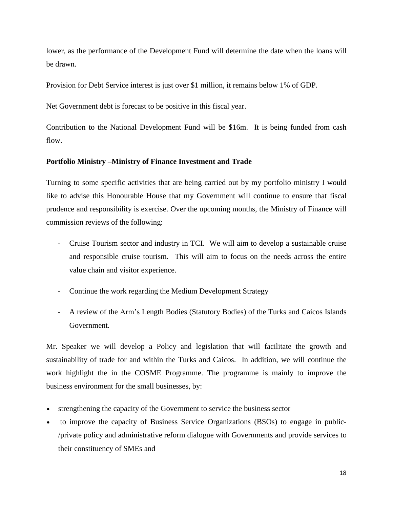lower, as the performance of the Development Fund will determine the date when the loans will be drawn.

Provision for Debt Service interest is just over \$1 million, it remains below 1% of GDP.

Net Government debt is forecast to be positive in this fiscal year.

Contribution to the National Development Fund will be \$16m. It is being funded from cash flow.

## **Portfolio Ministry –Ministry of Finance Investment and Trade**

Turning to some specific activities that are being carried out by my portfolio ministry I would like to advise this Honourable House that my Government will continue to ensure that fiscal prudence and responsibility is exercise. Over the upcoming months, the Ministry of Finance will commission reviews of the following:

- Cruise Tourism sector and industry in TCI. We will aim to develop a sustainable cruise and responsible cruise tourism. This will aim to focus on the needs across the entire value chain and visitor experience.
- Continue the work regarding the Medium Development Strategy
- A review of the Arm's Length Bodies (Statutory Bodies) of the Turks and Caicos Islands Government.

Mr. Speaker we will develop a Policy and legislation that will facilitate the growth and sustainability of trade for and within the Turks and Caicos. In addition, we will continue the work highlight the in the COSME Programme. The programme is mainly to improve the business environment for the small businesses, by:

- strengthening the capacity of the Government to service the business sector
- to improve the capacity of Business Service Organizations (BSOs) to engage in public- /private policy and administrative reform dialogue with Governments and provide services to their constituency of SMEs and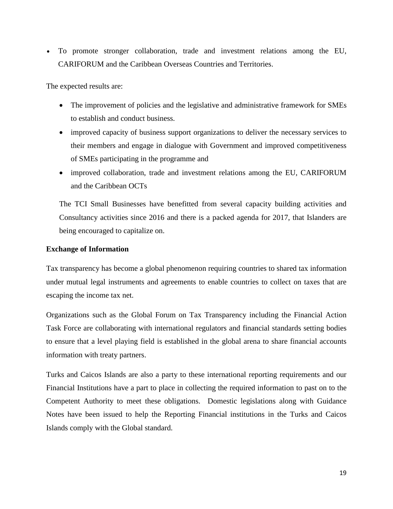To promote stronger collaboration, trade and investment relations among the EU, CARIFORUM and the Caribbean Overseas Countries and Territories.

The expected results are:

- The improvement of policies and the legislative and administrative framework for SMEs to establish and conduct business.
- improved capacity of business support organizations to deliver the necessary services to their members and engage in dialogue with Government and improved competitiveness of SMEs participating in the programme and
- improved collaboration, trade and investment relations among the EU, CARIFORUM and the Caribbean OCTs

The TCI Small Businesses have benefitted from several capacity building activities and Consultancy activities since 2016 and there is a packed agenda for 2017, that Islanders are being encouraged to capitalize on.

# **Exchange of Information**

Tax transparency has become a global phenomenon requiring countries to shared tax information under mutual legal instruments and agreements to enable countries to collect on taxes that are escaping the income tax net.

Organizations such as the Global Forum on Tax Transparency including the Financial Action Task Force are collaborating with international regulators and financial standards setting bodies to ensure that a level playing field is established in the global arena to share financial accounts information with treaty partners.

Turks and Caicos Islands are also a party to these international reporting requirements and our Financial Institutions have a part to place in collecting the required information to past on to the Competent Authority to meet these obligations. Domestic legislations along with Guidance Notes have been issued to help the Reporting Financial institutions in the Turks and Caicos Islands comply with the Global standard.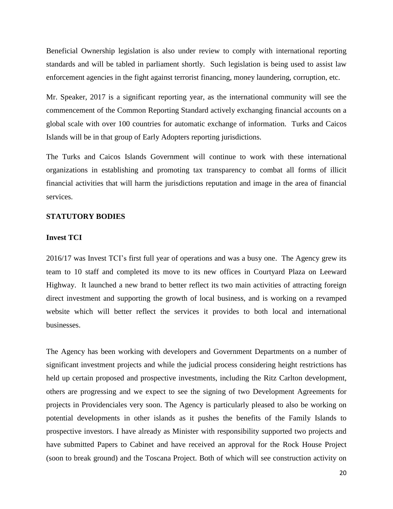Beneficial Ownership legislation is also under review to comply with international reporting standards and will be tabled in parliament shortly. Such legislation is being used to assist law enforcement agencies in the fight against terrorist financing, money laundering, corruption, etc.

Mr. Speaker, 2017 is a significant reporting year, as the international community will see the commencement of the Common Reporting Standard actively exchanging financial accounts on a global scale with over 100 countries for automatic exchange of information. Turks and Caicos Islands will be in that group of Early Adopters reporting jurisdictions.

The Turks and Caicos Islands Government will continue to work with these international organizations in establishing and promoting tax transparency to combat all forms of illicit financial activities that will harm the jurisdictions reputation and image in the area of financial services.

### **STATUTORY BODIES**

#### **Invest TCI**

2016/17 was Invest TCI's first full year of operations and was a busy one. The Agency grew its team to 10 staff and completed its move to its new offices in Courtyard Plaza on Leeward Highway. It launched a new brand to better reflect its two main activities of attracting foreign direct investment and supporting the growth of local business, and is working on a revamped website which will better reflect the services it provides to both local and international businesses.

The Agency has been working with developers and Government Departments on a number of significant investment projects and while the judicial process considering height restrictions has held up certain proposed and prospective investments, including the Ritz Carlton development, others are progressing and we expect to see the signing of two Development Agreements for projects in Providenciales very soon. The Agency is particularly pleased to also be working on potential developments in other islands as it pushes the benefits of the Family Islands to prospective investors. I have already as Minister with responsibility supported two projects and have submitted Papers to Cabinet and have received an approval for the Rock House Project (soon to break ground) and the Toscana Project. Both of which will see construction activity on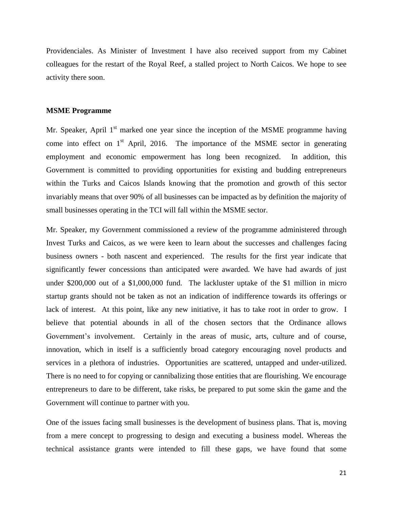Providenciales. As Minister of Investment I have also received support from my Cabinet colleagues for the restart of the Royal Reef, a stalled project to North Caicos. We hope to see activity there soon.

#### **MSME Programme**

Mr. Speaker, April 1<sup>st</sup> marked one year since the inception of the MSME programme having come into effect on  $1<sup>st</sup>$  April, 2016. The importance of the MSME sector in generating employment and economic empowerment has long been recognized. In addition, this Government is committed to providing opportunities for existing and budding entrepreneurs within the Turks and Caicos Islands knowing that the promotion and growth of this sector invariably means that over 90% of all businesses can be impacted as by definition the majority of small businesses operating in the TCI will fall within the MSME sector.

Mr. Speaker, my Government commissioned a review of the programme administered through Invest Turks and Caicos, as we were keen to learn about the successes and challenges facing business owners - both nascent and experienced. The results for the first year indicate that significantly fewer concessions than anticipated were awarded. We have had awards of just under \$200,000 out of a \$1,000,000 fund. The lackluster uptake of the \$1 million in micro startup grants should not be taken as not an indication of indifference towards its offerings or lack of interest. At this point, like any new initiative, it has to take root in order to grow. I believe that potential abounds in all of the chosen sectors that the Ordinance allows Government's involvement. Certainly in the areas of music, arts, culture and of course, innovation, which in itself is a sufficiently broad category encouraging novel products and services in a plethora of industries. Opportunities are scattered, untapped and under-utilized. There is no need to for copying or cannibalizing those entities that are flourishing. We encourage entrepreneurs to dare to be different, take risks, be prepared to put some skin the game and the Government will continue to partner with you.

One of the issues facing small businesses is the development of business plans. That is, moving from a mere concept to progressing to design and executing a business model. Whereas the technical assistance grants were intended to fill these gaps, we have found that some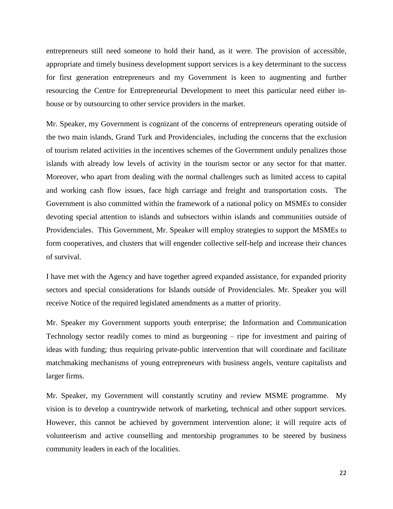entrepreneurs still need someone to hold their hand, as it were. The provision of accessible, appropriate and timely business development support services is a key determinant to the success for first generation entrepreneurs and my Government is keen to augmenting and further resourcing the Centre for Entrepreneurial Development to meet this particular need either inhouse or by outsourcing to other service providers in the market.

Mr. Speaker, my Government is cognizant of the concerns of entrepreneurs operating outside of the two main islands, Grand Turk and Providenciales, including the concerns that the exclusion of tourism related activities in the incentives schemes of the Government unduly penalizes those islands with already low levels of activity in the tourism sector or any sector for that matter. Moreover, who apart from dealing with the normal challenges such as limited access to capital and working cash flow issues, face high carriage and freight and transportation costs. The Government is also committed within the framework of a national policy on MSMEs to consider devoting special attention to islands and subsectors within islands and communities outside of Providenciales. This Government, Mr. Speaker will employ strategies to support the MSMEs to form cooperatives, and clusters that will engender collective self-help and increase their chances of survival.

I have met with the Agency and have together agreed expanded assistance, for expanded priority sectors and special considerations for Islands outside of Providenciales. Mr. Speaker you will receive Notice of the required legislated amendments as a matter of priority.

Mr. Speaker my Government supports youth enterprise; the Information and Communication Technology sector readily comes to mind as burgeoning – ripe for investment and pairing of ideas with funding; thus requiring private-public intervention that will coordinate and facilitate matchmaking mechanisms of young entrepreneurs with business angels, venture capitalists and larger firms.

Mr. Speaker, my Government will constantly scrutiny and review MSME programme. My vision is to develop a countrywide network of marketing, technical and other support services. However, this cannot be achieved by government intervention alone; it will require acts of volunteerism and active counselling and mentorship programmes to be steered by business community leaders in each of the localities.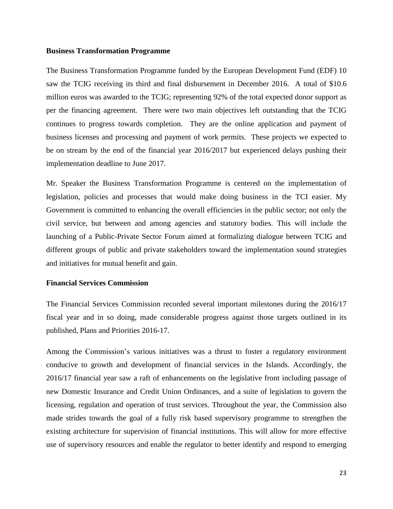#### **Business Transformation Programme**

The Business Transformation Programme funded by the European Development Fund (EDF) 10 saw the TCIG receiving its third and final disbursement in December 2016. A total of \$10.6 million euros was awarded to the TCIG; representing 92% of the total expected donor support as per the financing agreement. There were two main objectives left outstanding that the TCIG continues to progress towards completion. They are the online application and payment of business licenses and processing and payment of work permits. These projects we expected to be on stream by the end of the financial year 2016/2017 but experienced delays pushing their implementation deadline to June 2017.

Mr. Speaker the Business Transformation Programme is centered on the implementation of legislation, policies and processes that would make doing business in the TCI easier. My Government is committed to enhancing the overall efficiencies in the public sector; not only the civil service, but between and among agencies and statutory bodies. This will include the launching of a Public-Private Sector Forum aimed at formalizing dialogue between TCIG and different groups of public and private stakeholders toward the implementation sound strategies and initiatives for mutual benefit and gain.

### **Financial Services Commission**

The Financial Services Commission recorded several important milestones during the 2016/17 fiscal year and in so doing, made considerable progress against those targets outlined in its published, Plans and Priorities 2016-17.

Among the Commission's various initiatives was a thrust to foster a regulatory environment conducive to growth and development of financial services in the Islands. Accordingly, the 2016/17 financial year saw a raft of enhancements on the legislative front including passage of new Domestic Insurance and Credit Union Ordinances, and a suite of legislation to govern the licensing, regulation and operation of trust services. Throughout the year, the Commission also made strides towards the goal of a fully risk based supervisory programme to strengthen the existing architecture for supervision of financial institutions. This will allow for more effective use of supervisory resources and enable the regulator to better identify and respond to emerging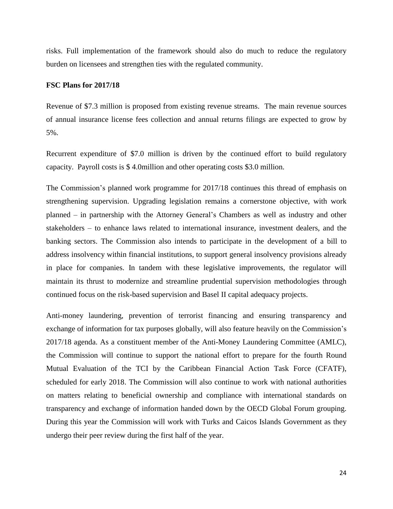risks. Full implementation of the framework should also do much to reduce the regulatory burden on licensees and strengthen ties with the regulated community.

#### **FSC Plans for 2017/18**

Revenue of \$7.3 million is proposed from existing revenue streams. The main revenue sources of annual insurance license fees collection and annual returns filings are expected to grow by 5%.

Recurrent expenditure of \$7.0 million is driven by the continued effort to build regulatory capacity. Payroll costs is \$ 4.0million and other operating costs \$3.0 million.

The Commission's planned work programme for 2017/18 continues this thread of emphasis on strengthening supervision. Upgrading legislation remains a cornerstone objective, with work planned – in partnership with the Attorney General's Chambers as well as industry and other stakeholders – to enhance laws related to international insurance, investment dealers, and the banking sectors. The Commission also intends to participate in the development of a bill to address insolvency within financial institutions, to support general insolvency provisions already in place for companies. In tandem with these legislative improvements, the regulator will maintain its thrust to modernize and streamline prudential supervision methodologies through continued focus on the risk-based supervision and Basel II capital adequacy projects.

Anti-money laundering, prevention of terrorist financing and ensuring transparency and exchange of information for tax purposes globally, will also feature heavily on the Commission's 2017/18 agenda. As a constituent member of the Anti-Money Laundering Committee (AMLC), the Commission will continue to support the national effort to prepare for the fourth Round Mutual Evaluation of the TCI by the Caribbean Financial Action Task Force (CFATF), scheduled for early 2018. The Commission will also continue to work with national authorities on matters relating to beneficial ownership and compliance with international standards on transparency and exchange of information handed down by the OECD Global Forum grouping. During this year the Commission will work with Turks and Caicos Islands Government as they undergo their peer review during the first half of the year.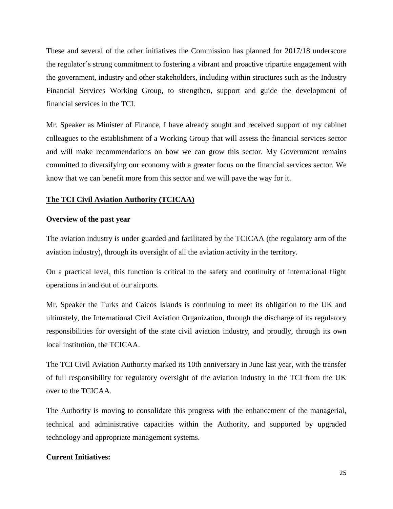These and several of the other initiatives the Commission has planned for 2017/18 underscore the regulator's strong commitment to fostering a vibrant and proactive tripartite engagement with the government, industry and other stakeholders, including within structures such as the Industry Financial Services Working Group, to strengthen, support and guide the development of financial services in the TCI.

Mr. Speaker as Minister of Finance, I have already sought and received support of my cabinet colleagues to the establishment of a Working Group that will assess the financial services sector and will make recommendations on how we can grow this sector. My Government remains committed to diversifying our economy with a greater focus on the financial services sector. We know that we can benefit more from this sector and we will pave the way for it.

## **The TCI Civil Aviation Authority (TCICAA)**

### **Overview of the past year**

The aviation industry is under guarded and facilitated by the TCICAA (the regulatory arm of the aviation industry), through its oversight of all the aviation activity in the territory.

On a practical level, this function is critical to the safety and continuity of international flight operations in and out of our airports.

Mr. Speaker the Turks and Caicos Islands is continuing to meet its obligation to the UK and ultimately, the International Civil Aviation Organization, through the discharge of its regulatory responsibilities for oversight of the state civil aviation industry, and proudly, through its own local institution, the TCICAA.

The TCI Civil Aviation Authority marked its 10th anniversary in June last year, with the transfer of full responsibility for regulatory oversight of the aviation industry in the TCI from the UK over to the TCICAA.

The Authority is moving to consolidate this progress with the enhancement of the managerial, technical and administrative capacities within the Authority, and supported by upgraded technology and appropriate management systems.

## **Current Initiatives:**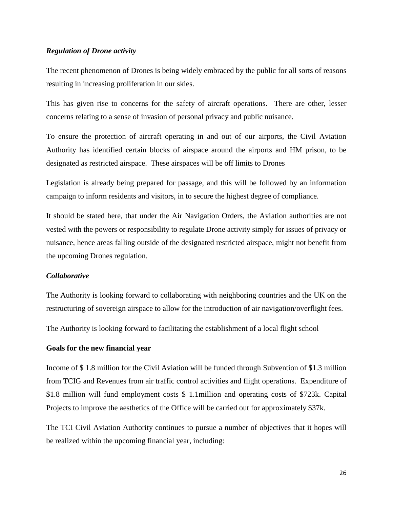### *Regulation of Drone activity*

The recent phenomenon of Drones is being widely embraced by the public for all sorts of reasons resulting in increasing proliferation in our skies.

This has given rise to concerns for the safety of aircraft operations. There are other, lesser concerns relating to a sense of invasion of personal privacy and public nuisance.

To ensure the protection of aircraft operating in and out of our airports, the Civil Aviation Authority has identified certain blocks of airspace around the airports and HM prison, to be designated as restricted airspace. These airspaces will be off limits to Drones

Legislation is already being prepared for passage, and this will be followed by an information campaign to inform residents and visitors, in to secure the highest degree of compliance.

It should be stated here, that under the Air Navigation Orders, the Aviation authorities are not vested with the powers or responsibility to regulate Drone activity simply for issues of privacy or nuisance, hence areas falling outside of the designated restricted airspace, might not benefit from the upcoming Drones regulation.

## *Collaborative*

The Authority is looking forward to collaborating with neighboring countries and the UK on the restructuring of sovereign airspace to allow for the introduction of air navigation/overflight fees.

The Authority is looking forward to facilitating the establishment of a local flight school

#### **Goals for the new financial year**

Income of \$ 1.8 million for the Civil Aviation will be funded through Subvention of \$1.3 million from TCIG and Revenues from air traffic control activities and flight operations. Expenditure of \$1.8 million will fund employment costs \$ 1.1million and operating costs of \$723k. Capital Projects to improve the aesthetics of the Office will be carried out for approximately \$37k.

The TCI Civil Aviation Authority continues to pursue a number of objectives that it hopes will be realized within the upcoming financial year, including: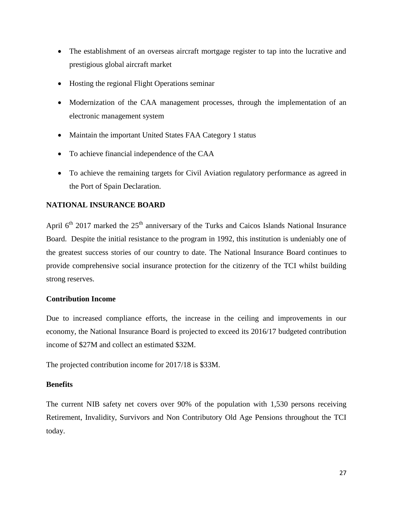- The establishment of an overseas aircraft mortgage register to tap into the lucrative and prestigious global aircraft market
- Hosting the regional Flight Operations seminar
- Modernization of the CAA management processes, through the implementation of an electronic management system
- Maintain the important United States FAA Category 1 status
- To achieve financial independence of the CAA
- To achieve the remaining targets for Civil Aviation regulatory performance as agreed in the Port of Spain Declaration.

# **NATIONAL INSURANCE BOARD**

April  $6<sup>th</sup>$  2017 marked the 25<sup>th</sup> anniversary of the Turks and Caicos Islands National Insurance Board. Despite the initial resistance to the program in 1992, this institution is undeniably one of the greatest success stories of our country to date. The National Insurance Board continues to provide comprehensive social insurance protection for the citizenry of the TCI whilst building strong reserves.

# **Contribution Income**

Due to increased compliance efforts, the increase in the ceiling and improvements in our economy, the National Insurance Board is projected to exceed its 2016/17 budgeted contribution income of \$27M and collect an estimated \$32M.

The projected contribution income for 2017/18 is \$33M.

# **Benefits**

The current NIB safety net covers over 90% of the population with 1,530 persons receiving Retirement, Invalidity, Survivors and Non Contributory Old Age Pensions throughout the TCI today.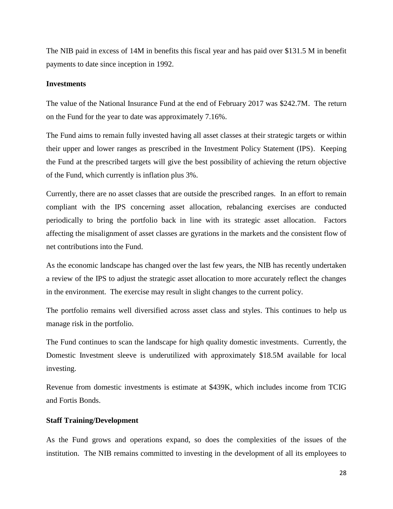The NIB paid in excess of 14M in benefits this fiscal year and has paid over \$131.5 M in benefit payments to date since inception in 1992.

### **Investments**

The value of the National Insurance Fund at the end of February 2017 was \$242.7M. The return on the Fund for the year to date was approximately 7.16%.

The Fund aims to remain fully invested having all asset classes at their strategic targets or within their upper and lower ranges as prescribed in the Investment Policy Statement (IPS). Keeping the Fund at the prescribed targets will give the best possibility of achieving the return objective of the Fund, which currently is inflation plus 3%.

Currently, there are no asset classes that are outside the prescribed ranges. In an effort to remain compliant with the IPS concerning asset allocation, rebalancing exercises are conducted periodically to bring the portfolio back in line with its strategic asset allocation. Factors affecting the misalignment of asset classes are gyrations in the markets and the consistent flow of net contributions into the Fund.

As the economic landscape has changed over the last few years, the NIB has recently undertaken a review of the IPS to adjust the strategic asset allocation to more accurately reflect the changes in the environment. The exercise may result in slight changes to the current policy.

The portfolio remains well diversified across asset class and styles. This continues to help us manage risk in the portfolio.

The Fund continues to scan the landscape for high quality domestic investments. Currently, the Domestic Investment sleeve is underutilized with approximately \$18.5M available for local investing.

Revenue from domestic investments is estimate at \$439K, which includes income from TCIG and Fortis Bonds.

### **Staff Training/Development**

As the Fund grows and operations expand, so does the complexities of the issues of the institution. The NIB remains committed to investing in the development of all its employees to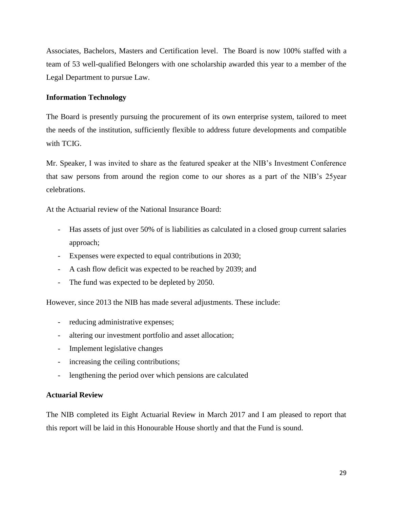Associates, Bachelors, Masters and Certification level. The Board is now 100% staffed with a team of 53 well-qualified Belongers with one scholarship awarded this year to a member of the Legal Department to pursue Law.

## **Information Technology**

The Board is presently pursuing the procurement of its own enterprise system, tailored to meet the needs of the institution, sufficiently flexible to address future developments and compatible with TCIG.

Mr. Speaker, I was invited to share as the featured speaker at the NIB's Investment Conference that saw persons from around the region come to our shores as a part of the NIB's 25year celebrations.

At the Actuarial review of the National Insurance Board:

- Has assets of just over 50% of is liabilities as calculated in a closed group current salaries approach;
- Expenses were expected to equal contributions in 2030;
- A cash flow deficit was expected to be reached by 2039; and
- The fund was expected to be depleted by 2050.

However, since 2013 the NIB has made several adjustments. These include:

- reducing administrative expenses;
- altering our investment portfolio and asset allocation;
- Implement legislative changes
- increasing the ceiling contributions;
- lengthening the period over which pensions are calculated

### **Actuarial Review**

The NIB completed its Eight Actuarial Review in March 2017 and I am pleased to report that this report will be laid in this Honourable House shortly and that the Fund is sound.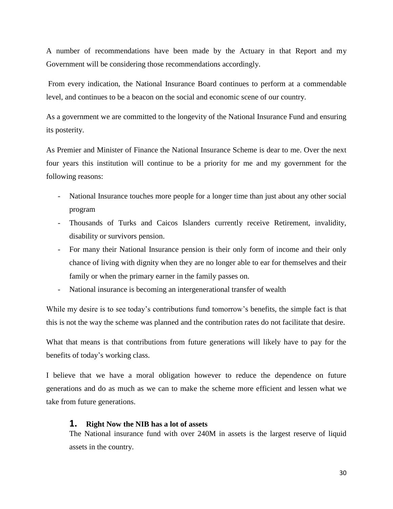A number of recommendations have been made by the Actuary in that Report and my Government will be considering those recommendations accordingly.

From every indication, the National Insurance Board continues to perform at a commendable level, and continues to be a beacon on the social and economic scene of our country.

As a government we are committed to the longevity of the National Insurance Fund and ensuring its posterity.

As Premier and Minister of Finance the National Insurance Scheme is dear to me. Over the next four years this institution will continue to be a priority for me and my government for the following reasons:

- National Insurance touches more people for a longer time than just about any other social program
- Thousands of Turks and Caicos Islanders currently receive Retirement, invalidity, disability or survivors pension.
- For many their National Insurance pension is their only form of income and their only chance of living with dignity when they are no longer able to ear for themselves and their family or when the primary earner in the family passes on.
- National insurance is becoming an intergenerational transfer of wealth

While my desire is to see today's contributions fund tomorrow's benefits, the simple fact is that this is not the way the scheme was planned and the contribution rates do not facilitate that desire.

What that means is that contributions from future generations will likely have to pay for the benefits of today's working class.

I believe that we have a moral obligation however to reduce the dependence on future generations and do as much as we can to make the scheme more efficient and lessen what we take from future generations.

## **1. Right Now the NIB has a lot of assets**

The National insurance fund with over 240M in assets is the largest reserve of liquid assets in the country.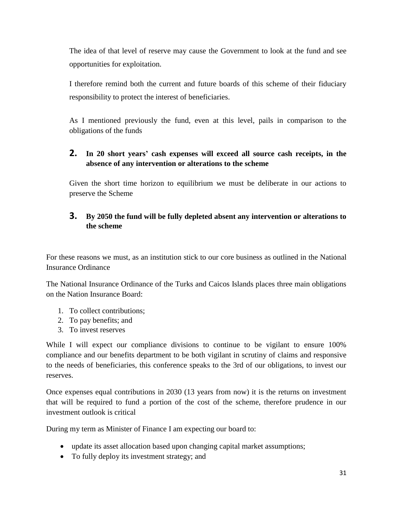The idea of that level of reserve may cause the Government to look at the fund and see opportunities for exploitation.

I therefore remind both the current and future boards of this scheme of their fiduciary responsibility to protect the interest of beneficiaries.

As I mentioned previously the fund, even at this level, pails in comparison to the obligations of the funds

# **2. In 20 short years' cash expenses will exceed all source cash receipts, in the absence of any intervention or alterations to the scheme**

Given the short time horizon to equilibrium we must be deliberate in our actions to preserve the Scheme

# **3. By 2050 the fund will be fully depleted absent any intervention or alterations to the scheme**

For these reasons we must, as an institution stick to our core business as outlined in the National Insurance Ordinance

The National Insurance Ordinance of the Turks and Caicos Islands places three main obligations on the Nation Insurance Board:

- 1. To collect contributions;
- 2. To pay benefits; and
- 3. To invest reserves

While I will expect our compliance divisions to continue to be vigilant to ensure 100% compliance and our benefits department to be both vigilant in scrutiny of claims and responsive to the needs of beneficiaries, this conference speaks to the 3rd of our obligations, to invest our reserves.

Once expenses equal contributions in 2030 (13 years from now) it is the returns on investment that will be required to fund a portion of the cost of the scheme, therefore prudence in our investment outlook is critical

During my term as Minister of Finance I am expecting our board to:

- update its asset allocation based upon changing capital market assumptions;
- To fully deploy its investment strategy; and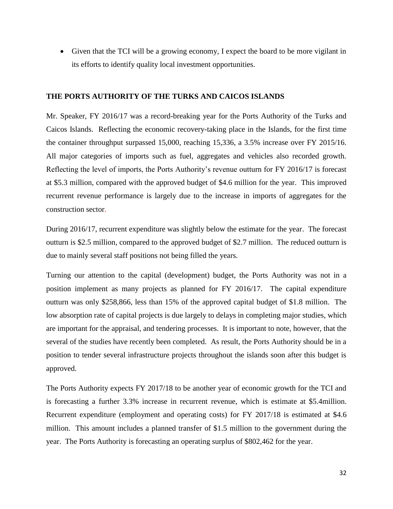Given that the TCI will be a growing economy, I expect the board to be more vigilant in its efforts to identify quality local investment opportunities.

## **THE PORTS AUTHORITY OF THE TURKS AND CAICOS ISLANDS**

Mr. Speaker, FY 2016/17 was a record-breaking year for the Ports Authority of the Turks and Caicos Islands. Reflecting the economic recovery-taking place in the Islands, for the first time the container throughput surpassed 15,000, reaching 15,336, a 3.5% increase over FY 2015/16. All major categories of imports such as fuel, aggregates and vehicles also recorded growth. Reflecting the level of imports, the Ports Authority's revenue outturn for FY 2016/17 is forecast at \$5.3 million, compared with the approved budget of \$4.6 million for the year. This improved recurrent revenue performance is largely due to the increase in imports of aggregates for the construction sector.

During 2016/17, recurrent expenditure was slightly below the estimate for the year. The forecast outturn is \$2.5 million, compared to the approved budget of \$2.7 million. The reduced outturn is due to mainly several staff positions not being filled the years.

Turning our attention to the capital (development) budget, the Ports Authority was not in a position implement as many projects as planned for FY 2016/17. The capital expenditure outturn was only \$258,866, less than 15% of the approved capital budget of \$1.8 million. The low absorption rate of capital projects is due largely to delays in completing major studies, which are important for the appraisal, and tendering processes. It is important to note, however, that the several of the studies have recently been completed. As result, the Ports Authority should be in a position to tender several infrastructure projects throughout the islands soon after this budget is approved.

The Ports Authority expects FY 2017/18 to be another year of economic growth for the TCI and is forecasting a further 3.3% increase in recurrent revenue, which is estimate at \$5.4million. Recurrent expenditure (employment and operating costs) for FY 2017/18 is estimated at \$4.6 million. This amount includes a planned transfer of \$1.5 million to the government during the year. The Ports Authority is forecasting an operating surplus of \$802,462 for the year.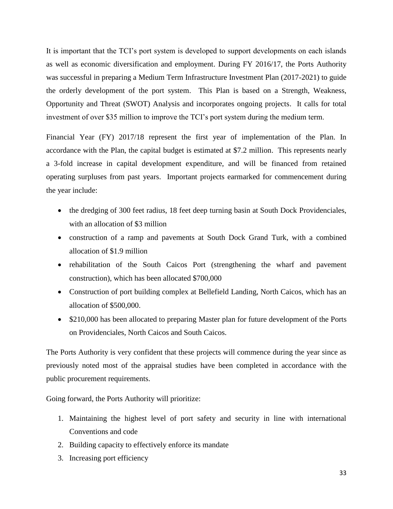It is important that the TCI's port system is developed to support developments on each islands as well as economic diversification and employment. During FY 2016/17, the Ports Authority was successful in preparing a Medium Term Infrastructure Investment Plan (2017-2021) to guide the orderly development of the port system. This Plan is based on a Strength, Weakness, Opportunity and Threat (SWOT) Analysis and incorporates ongoing projects. It calls for total investment of over \$35 million to improve the TCI's port system during the medium term.

Financial Year (FY) 2017/18 represent the first year of implementation of the Plan. In accordance with the Plan, the capital budget is estimated at \$7.2 million. This represents nearly a 3-fold increase in capital development expenditure, and will be financed from retained operating surpluses from past years. Important projects earmarked for commencement during the year include:

- the dredging of 300 feet radius, 18 feet deep turning basin at South Dock Providenciales, with an allocation of \$3 million
- construction of a ramp and pavements at South Dock Grand Turk, with a combined allocation of \$1.9 million
- rehabilitation of the South Caicos Port (strengthening the wharf and pavement construction), which has been allocated \$700,000
- Construction of port building complex at Bellefield Landing, North Caicos, which has an allocation of \$500,000.
- \$210,000 has been allocated to preparing Master plan for future development of the Ports on Providenciales, North Caicos and South Caicos.

The Ports Authority is very confident that these projects will commence during the year since as previously noted most of the appraisal studies have been completed in accordance with the public procurement requirements.

Going forward, the Ports Authority will prioritize:

- 1. Maintaining the highest level of port safety and security in line with international Conventions and code
- 2. Building capacity to effectively enforce its mandate
- 3. Increasing port efficiency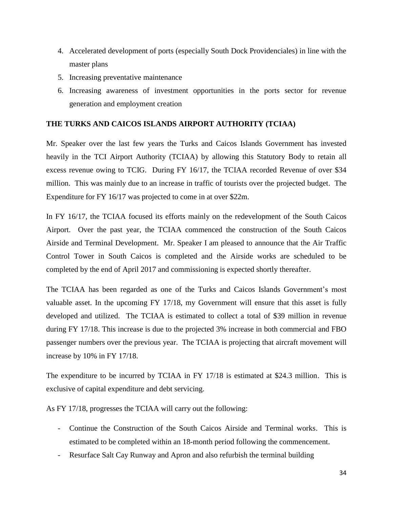- 4. Accelerated development of ports (especially South Dock Providenciales) in line with the master plans
- 5. Increasing preventative maintenance
- 6. Increasing awareness of investment opportunities in the ports sector for revenue generation and employment creation

# **THE TURKS AND CAICOS ISLANDS AIRPORT AUTHORITY (TCIAA)**

Mr. Speaker over the last few years the Turks and Caicos Islands Government has invested heavily in the TCI Airport Authority (TCIAA) by allowing this Statutory Body to retain all excess revenue owing to TCIG. During FY 16/17, the TCIAA recorded Revenue of over \$34 million. This was mainly due to an increase in traffic of tourists over the projected budget. The Expenditure for FY 16/17 was projected to come in at over \$22m.

In FY 16/17, the TCIAA focused its efforts mainly on the redevelopment of the South Caicos Airport. Over the past year, the TCIAA commenced the construction of the South Caicos Airside and Terminal Development. Mr. Speaker I am pleased to announce that the Air Traffic Control Tower in South Caicos is completed and the Airside works are scheduled to be completed by the end of April 2017 and commissioning is expected shortly thereafter.

The TCIAA has been regarded as one of the Turks and Caicos Islands Government's most valuable asset. In the upcoming FY 17/18, my Government will ensure that this asset is fully developed and utilized. The TCIAA is estimated to collect a total of \$39 million in revenue during FY 17/18. This increase is due to the projected 3% increase in both commercial and FBO passenger numbers over the previous year. The TCIAA is projecting that aircraft movement will increase by 10% in FY 17/18.

The expenditure to be incurred by TCIAA in FY 17/18 is estimated at \$24.3 million. This is exclusive of capital expenditure and debt servicing.

As FY 17/18, progresses the TCIAA will carry out the following:

- Continue the Construction of the South Caicos Airside and Terminal works. This is estimated to be completed within an 18-month period following the commencement.
- Resurface Salt Cay Runway and Apron and also refurbish the terminal building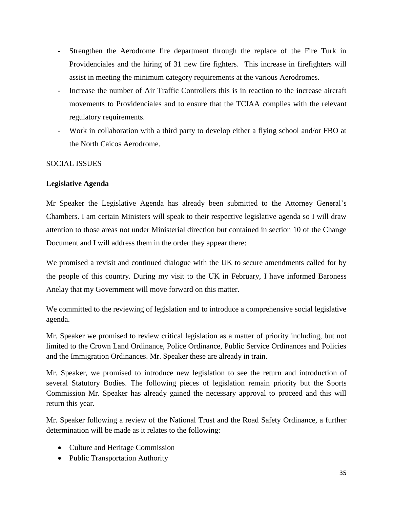- Strengthen the Aerodrome fire department through the replace of the Fire Turk in Providenciales and the hiring of 31 new fire fighters. This increase in firefighters will assist in meeting the minimum category requirements at the various Aerodromes.
- Increase the number of Air Traffic Controllers this is in reaction to the increase aircraft movements to Providenciales and to ensure that the TCIAA complies with the relevant regulatory requirements.
- Work in collaboration with a third party to develop either a flying school and/or FBO at the North Caicos Aerodrome.

# SOCIAL ISSUES

# **Legislative Agenda**

Mr Speaker the Legislative Agenda has already been submitted to the Attorney General's Chambers. I am certain Ministers will speak to their respective legislative agenda so I will draw attention to those areas not under Ministerial direction but contained in section 10 of the Change Document and I will address them in the order they appear there:

We promised a revisit and continued dialogue with the UK to secure amendments called for by the people of this country. During my visit to the UK in February, I have informed Baroness Anelay that my Government will move forward on this matter.

We committed to the reviewing of legislation and to introduce a comprehensive social legislative agenda.

Mr. Speaker we promised to review critical legislation as a matter of priority including, but not limited to the Crown Land Ordinance, Police Ordinance, Public Service Ordinances and Policies and the Immigration Ordinances. Mr. Speaker these are already in train.

Mr. Speaker, we promised to introduce new legislation to see the return and introduction of several Statutory Bodies. The following pieces of legislation remain priority but the Sports Commission Mr. Speaker has already gained the necessary approval to proceed and this will return this year.

Mr. Speaker following a review of the National Trust and the Road Safety Ordinance, a further determination will be made as it relates to the following:

- Culture and Heritage Commission
- Public Transportation Authority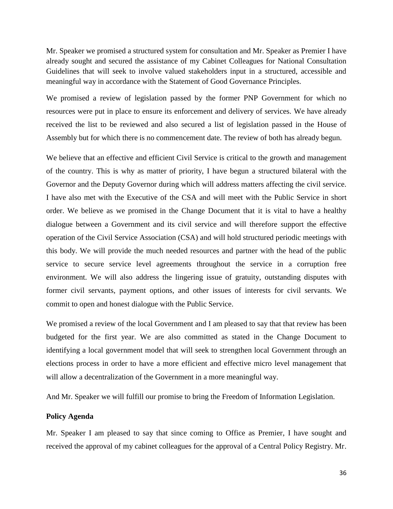Mr. Speaker we promised a structured system for consultation and Mr. Speaker as Premier I have already sought and secured the assistance of my Cabinet Colleagues for National Consultation Guidelines that will seek to involve valued stakeholders input in a structured, accessible and meaningful way in accordance with the Statement of Good Governance Principles.

We promised a review of legislation passed by the former PNP Government for which no resources were put in place to ensure its enforcement and delivery of services. We have already received the list to be reviewed and also secured a list of legislation passed in the House of Assembly but for which there is no commencement date. The review of both has already begun.

We believe that an effective and efficient Civil Service is critical to the growth and management of the country. This is why as matter of priority, I have begun a structured bilateral with the Governor and the Deputy Governor during which will address matters affecting the civil service. I have also met with the Executive of the CSA and will meet with the Public Service in short order. We believe as we promised in the Change Document that it is vital to have a healthy dialogue between a Government and its civil service and will therefore support the effective operation of the Civil Service Association (CSA) and will hold structured periodic meetings with this body. We will provide the much needed resources and partner with the head of the public service to secure service level agreements throughout the service in a corruption free environment. We will also address the lingering issue of gratuity, outstanding disputes with former civil servants, payment options, and other issues of interests for civil servants. We commit to open and honest dialogue with the Public Service.

We promised a review of the local Government and I am pleased to say that that review has been budgeted for the first year. We are also committed as stated in the Change Document to identifying a local government model that will seek to strengthen local Government through an elections process in order to have a more efficient and effective micro level management that will allow a decentralization of the Government in a more meaningful way.

And Mr. Speaker we will fulfill our promise to bring the Freedom of Information Legislation.

#### **Policy Agenda**

Mr. Speaker I am pleased to say that since coming to Office as Premier, I have sought and received the approval of my cabinet colleagues for the approval of a Central Policy Registry. Mr.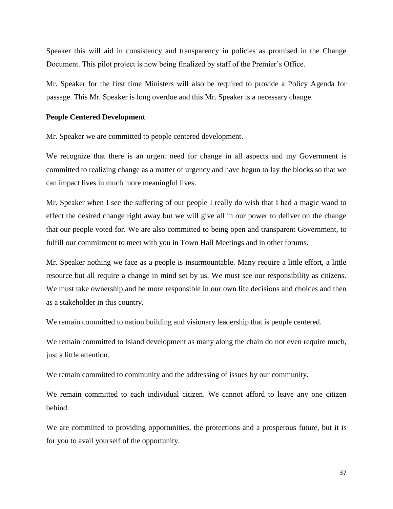Speaker this will aid in consistency and transparency in policies as promised in the Change Document. This pilot project is now being finalized by staff of the Premier's Office.

Mr. Speaker for the first time Ministers will also be required to provide a Policy Agenda for passage. This Mr. Speaker is long overdue and this Mr. Speaker is a necessary change.

### **People Centered Development**

Mr. Speaker we are committed to people centered development.

We recognize that there is an urgent need for change in all aspects and my Government is committed to realizing change as a matter of urgency and have begun to lay the blocks so that we can impact lives in much more meaningful lives.

Mr. Speaker when I see the suffering of our people I really do wish that I had a magic wand to effect the desired change right away but we will give all in our power to deliver on the change that our people voted for. We are also committed to being open and transparent Government, to fulfill our commitment to meet with you in Town Hall Meetings and in other forums.

Mr. Speaker nothing we face as a people is insurmountable. Many require a little effort, a little resource but all require a change in mind set by us. We must see our responsibility as citizens. We must take ownership and be more responsible in our own life decisions and choices and then as a stakeholder in this country.

We remain committed to nation building and visionary leadership that is people centered.

We remain committed to Island development as many along the chain do not even require much, just a little attention.

We remain committed to community and the addressing of issues by our community.

We remain committed to each individual citizen. We cannot afford to leave any one citizen behind.

We are committed to providing opportunities, the protections and a prosperous future, but it is for you to avail yourself of the opportunity.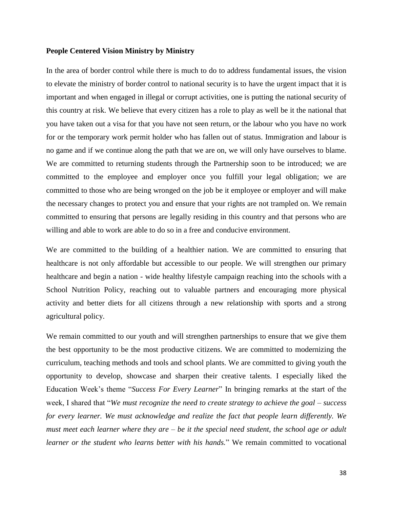### **People Centered Vision Ministry by Ministry**

In the area of border control while there is much to do to address fundamental issues, the vision to elevate the ministry of border control to national security is to have the urgent impact that it is important and when engaged in illegal or corrupt activities, one is putting the national security of this country at risk. We believe that every citizen has a role to play as well be it the national that you have taken out a visa for that you have not seen return, or the labour who you have no work for or the temporary work permit holder who has fallen out of status. Immigration and labour is no game and if we continue along the path that we are on, we will only have ourselves to blame. We are committed to returning students through the Partnership soon to be introduced; we are committed to the employee and employer once you fulfill your legal obligation; we are committed to those who are being wronged on the job be it employee or employer and will make the necessary changes to protect you and ensure that your rights are not trampled on. We remain committed to ensuring that persons are legally residing in this country and that persons who are willing and able to work are able to do so in a free and conducive environment.

We are committed to the building of a healthier nation. We are committed to ensuring that healthcare is not only affordable but accessible to our people. We will strengthen our primary healthcare and begin a nation - wide healthy lifestyle campaign reaching into the schools with a School Nutrition Policy, reaching out to valuable partners and encouraging more physical activity and better diets for all citizens through a new relationship with sports and a strong agricultural policy.

We remain committed to our youth and will strengthen partnerships to ensure that we give them the best opportunity to be the most productive citizens. We are committed to modernizing the curriculum, teaching methods and tools and school plants. We are committed to giving youth the opportunity to develop, showcase and sharpen their creative talents. I especially liked the Education Week's theme "*Success For Every Learner*" In bringing remarks at the start of the week, I shared that "*We must recognize the need to create strategy to achieve the goal – success for every learner. We must acknowledge and realize the fact that people learn differently. We must meet each learner where they are – be it the special need student, the school age or adult learner or the student who learns better with his hands.*" We remain committed to vocational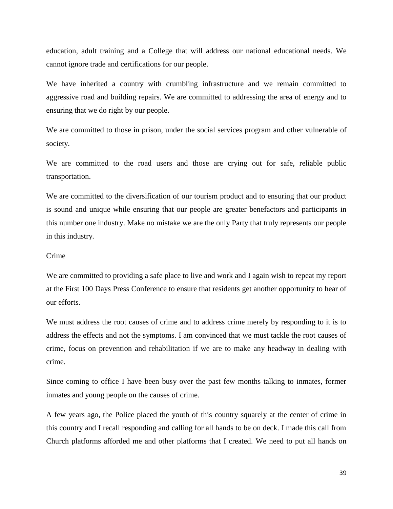education, adult training and a College that will address our national educational needs. We cannot ignore trade and certifications for our people.

We have inherited a country with crumbling infrastructure and we remain committed to aggressive road and building repairs. We are committed to addressing the area of energy and to ensuring that we do right by our people.

We are committed to those in prison, under the social services program and other vulnerable of society.

We are committed to the road users and those are crying out for safe, reliable public transportation.

We are committed to the diversification of our tourism product and to ensuring that our product is sound and unique while ensuring that our people are greater benefactors and participants in this number one industry. Make no mistake we are the only Party that truly represents our people in this industry.

### Crime

We are committed to providing a safe place to live and work and I again wish to repeat my report at the First 100 Days Press Conference to ensure that residents get another opportunity to hear of our efforts.

We must address the root causes of crime and to address crime merely by responding to it is to address the effects and not the symptoms. I am convinced that we must tackle the root causes of crime, focus on prevention and rehabilitation if we are to make any headway in dealing with crime.

Since coming to office I have been busy over the past few months talking to inmates, former inmates and young people on the causes of crime.

A few years ago, the Police placed the youth of this country squarely at the center of crime in this country and I recall responding and calling for all hands to be on deck. I made this call from Church platforms afforded me and other platforms that I created. We need to put all hands on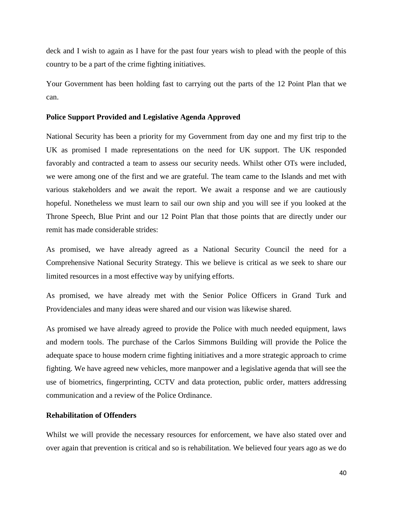deck and I wish to again as I have for the past four years wish to plead with the people of this country to be a part of the crime fighting initiatives.

Your Government has been holding fast to carrying out the parts of the 12 Point Plan that we can.

### **Police Support Provided and Legislative Agenda Approved**

National Security has been a priority for my Government from day one and my first trip to the UK as promised I made representations on the need for UK support. The UK responded favorably and contracted a team to assess our security needs. Whilst other OTs were included, we were among one of the first and we are grateful. The team came to the Islands and met with various stakeholders and we await the report. We await a response and we are cautiously hopeful. Nonetheless we must learn to sail our own ship and you will see if you looked at the Throne Speech, Blue Print and our 12 Point Plan that those points that are directly under our remit has made considerable strides:

As promised, we have already agreed as a National Security Council the need for a Comprehensive National Security Strategy. This we believe is critical as we seek to share our limited resources in a most effective way by unifying efforts.

As promised, we have already met with the Senior Police Officers in Grand Turk and Providenciales and many ideas were shared and our vision was likewise shared.

As promised we have already agreed to provide the Police with much needed equipment, laws and modern tools. The purchase of the Carlos Simmons Building will provide the Police the adequate space to house modern crime fighting initiatives and a more strategic approach to crime fighting. We have agreed new vehicles, more manpower and a legislative agenda that will see the use of biometrics, fingerprinting, CCTV and data protection, public order, matters addressing communication and a review of the Police Ordinance.

### **Rehabilitation of Offenders**

Whilst we will provide the necessary resources for enforcement, we have also stated over and over again that prevention is critical and so is rehabilitation. We believed four years ago as we do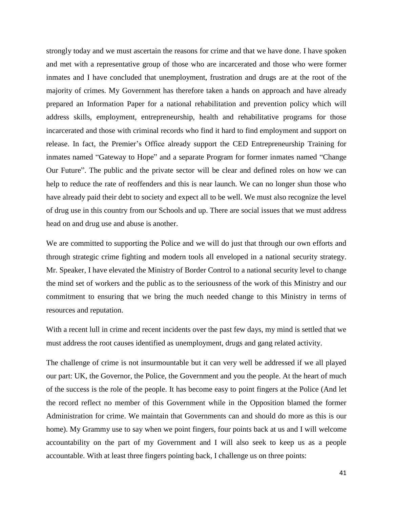strongly today and we must ascertain the reasons for crime and that we have done. I have spoken and met with a representative group of those who are incarcerated and those who were former inmates and I have concluded that unemployment, frustration and drugs are at the root of the majority of crimes. My Government has therefore taken a hands on approach and have already prepared an Information Paper for a national rehabilitation and prevention policy which will address skills, employment, entrepreneurship, health and rehabilitative programs for those incarcerated and those with criminal records who find it hard to find employment and support on release. In fact, the Premier's Office already support the CED Entrepreneurship Training for inmates named "Gateway to Hope" and a separate Program for former inmates named "Change Our Future". The public and the private sector will be clear and defined roles on how we can help to reduce the rate of reoffenders and this is near launch. We can no longer shun those who have already paid their debt to society and expect all to be well. We must also recognize the level of drug use in this country from our Schools and up. There are social issues that we must address head on and drug use and abuse is another.

We are committed to supporting the Police and we will do just that through our own efforts and through strategic crime fighting and modern tools all enveloped in a national security strategy. Mr. Speaker, I have elevated the Ministry of Border Control to a national security level to change the mind set of workers and the public as to the seriousness of the work of this Ministry and our commitment to ensuring that we bring the much needed change to this Ministry in terms of resources and reputation.

With a recent lull in crime and recent incidents over the past few days, my mind is settled that we must address the root causes identified as unemployment, drugs and gang related activity.

The challenge of crime is not insurmountable but it can very well be addressed if we all played our part: UK, the Governor, the Police, the Government and you the people. At the heart of much of the success is the role of the people. It has become easy to point fingers at the Police (And let the record reflect no member of this Government while in the Opposition blamed the former Administration for crime. We maintain that Governments can and should do more as this is our home). My Grammy use to say when we point fingers, four points back at us and I will welcome accountability on the part of my Government and I will also seek to keep us as a people accountable. With at least three fingers pointing back, I challenge us on three points: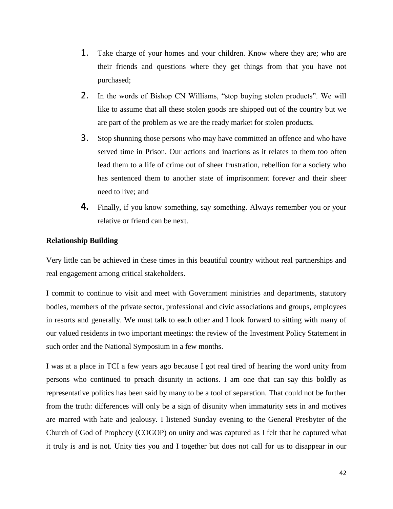- 1. Take charge of your homes and your children. Know where they are; who are their friends and questions where they get things from that you have not purchased;
- 2. In the words of Bishop CN Williams, "stop buying stolen products". We will like to assume that all these stolen goods are shipped out of the country but we are part of the problem as we are the ready market for stolen products.
- 3. Stop shunning those persons who may have committed an offence and who have served time in Prison. Our actions and inactions as it relates to them too often lead them to a life of crime out of sheer frustration, rebellion for a society who has sentenced them to another state of imprisonment forever and their sheer need to live; and
- **4.** Finally, if you know something, say something. Always remember you or your relative or friend can be next.

# **Relationship Building**

Very little can be achieved in these times in this beautiful country without real partnerships and real engagement among critical stakeholders.

I commit to continue to visit and meet with Government ministries and departments, statutory bodies, members of the private sector, professional and civic associations and groups, employees in resorts and generally. We must talk to each other and I look forward to sitting with many of our valued residents in two important meetings: the review of the Investment Policy Statement in such order and the National Symposium in a few months.

I was at a place in TCI a few years ago because I got real tired of hearing the word unity from persons who continued to preach disunity in actions. I am one that can say this boldly as representative politics has been said by many to be a tool of separation. That could not be further from the truth: differences will only be a sign of disunity when immaturity sets in and motives are marred with hate and jealousy. I listened Sunday evening to the General Presbyter of the Church of God of Prophecy (COGOP) on unity and was captured as I felt that he captured what it truly is and is not. Unity ties you and I together but does not call for us to disappear in our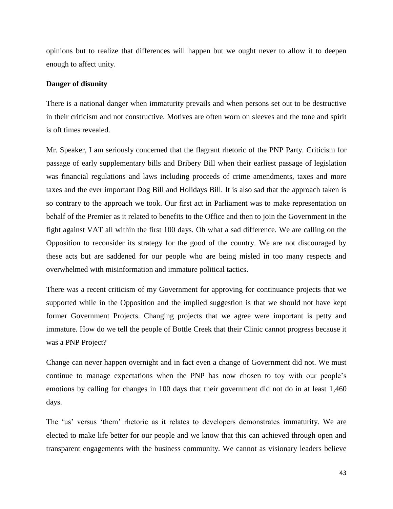opinions but to realize that differences will happen but we ought never to allow it to deepen enough to affect unity.

### **Danger of disunity**

There is a national danger when immaturity prevails and when persons set out to be destructive in their criticism and not constructive. Motives are often worn on sleeves and the tone and spirit is oft times revealed.

Mr. Speaker, I am seriously concerned that the flagrant rhetoric of the PNP Party. Criticism for passage of early supplementary bills and Bribery Bill when their earliest passage of legislation was financial regulations and laws including proceeds of crime amendments, taxes and more taxes and the ever important Dog Bill and Holidays Bill. It is also sad that the approach taken is so contrary to the approach we took. Our first act in Parliament was to make representation on behalf of the Premier as it related to benefits to the Office and then to join the Government in the fight against VAT all within the first 100 days. Oh what a sad difference. We are calling on the Opposition to reconsider its strategy for the good of the country. We are not discouraged by these acts but are saddened for our people who are being misled in too many respects and overwhelmed with misinformation and immature political tactics.

There was a recent criticism of my Government for approving for continuance projects that we supported while in the Opposition and the implied suggestion is that we should not have kept former Government Projects. Changing projects that we agree were important is petty and immature. How do we tell the people of Bottle Creek that their Clinic cannot progress because it was a PNP Project?

Change can never happen overnight and in fact even a change of Government did not. We must continue to manage expectations when the PNP has now chosen to toy with our people's emotions by calling for changes in 100 days that their government did not do in at least 1,460 days.

The 'us' versus 'them' rhetoric as it relates to developers demonstrates immaturity. We are elected to make life better for our people and we know that this can achieved through open and transparent engagements with the business community. We cannot as visionary leaders believe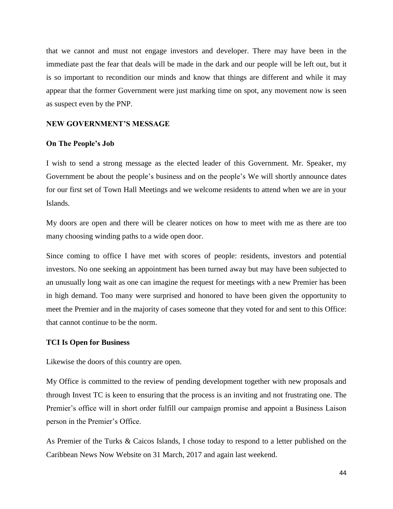that we cannot and must not engage investors and developer. There may have been in the immediate past the fear that deals will be made in the dark and our people will be left out, but it is so important to recondition our minds and know that things are different and while it may appear that the former Government were just marking time on spot, any movement now is seen as suspect even by the PNP.

## **NEW GOVERNMENT'S MESSAGE**

#### **On The People's Job**

I wish to send a strong message as the elected leader of this Government. Mr. Speaker, my Government be about the people's business and on the people's We will shortly announce dates for our first set of Town Hall Meetings and we welcome residents to attend when we are in your Islands.

My doors are open and there will be clearer notices on how to meet with me as there are too many choosing winding paths to a wide open door.

Since coming to office I have met with scores of people: residents, investors and potential investors. No one seeking an appointment has been turned away but may have been subjected to an unusually long wait as one can imagine the request for meetings with a new Premier has been in high demand. Too many were surprised and honored to have been given the opportunity to meet the Premier and in the majority of cases someone that they voted for and sent to this Office: that cannot continue to be the norm.

#### **TCI Is Open for Business**

Likewise the doors of this country are open.

My Office is committed to the review of pending development together with new proposals and through Invest TC is keen to ensuring that the process is an inviting and not frustrating one. The Premier's office will in short order fulfill our campaign promise and appoint a Business Laison person in the Premier's Office.

As Premier of the Turks & Caicos Islands, I chose today to respond to a letter published on the Caribbean News Now Website on 31 March, 2017 and again last weekend.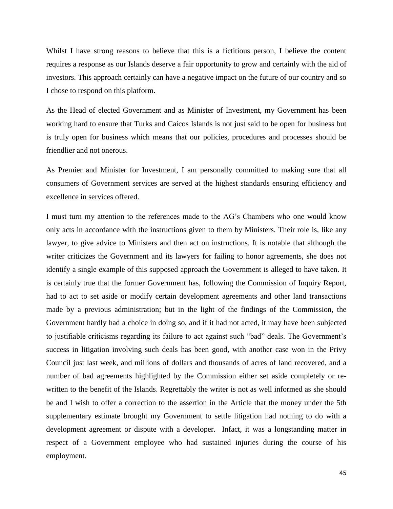Whilst I have strong reasons to believe that this is a fictitious person, I believe the content requires a response as our Islands deserve a fair opportunity to grow and certainly with the aid of investors. This approach certainly can have a negative impact on the future of our country and so I chose to respond on this platform.

As the Head of elected Government and as Minister of Investment, my Government has been working hard to ensure that Turks and Caicos Islands is not just said to be open for business but is truly open for business which means that our policies, procedures and processes should be friendlier and not onerous.

As Premier and Minister for Investment, I am personally committed to making sure that all consumers of Government services are served at the highest standards ensuring efficiency and excellence in services offered.

I must turn my attention to the references made to the AG's Chambers who one would know only acts in accordance with the instructions given to them by Ministers. Their role is, like any lawyer, to give advice to Ministers and then act on instructions. It is notable that although the writer criticizes the Government and its lawyers for failing to honor agreements, she does not identify a single example of this supposed approach the Government is alleged to have taken. It is certainly true that the former Government has, following the Commission of Inquiry Report, had to act to set aside or modify certain development agreements and other land transactions made by a previous administration; but in the light of the findings of the Commission, the Government hardly had a choice in doing so, and if it had not acted, it may have been subjected to justifiable criticisms regarding its failure to act against such "bad" deals. The Government's success in litigation involving such deals has been good, with another case won in the Privy Council just last week, and millions of dollars and thousands of acres of land recovered, and a number of bad agreements highlighted by the Commission either set aside completely or rewritten to the benefit of the Islands. Regrettably the writer is not as well informed as she should be and I wish to offer a correction to the assertion in the Article that the money under the 5th supplementary estimate brought my Government to settle litigation had nothing to do with a development agreement or dispute with a developer. Infact, it was a longstanding matter in respect of a Government employee who had sustained injuries during the course of his employment.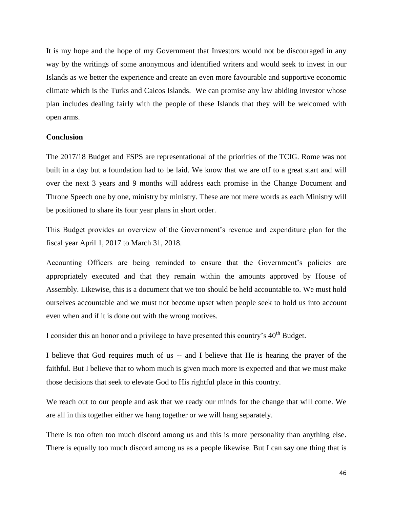It is my hope and the hope of my Government that Investors would not be discouraged in any way by the writings of some anonymous and identified writers and would seek to invest in our Islands as we better the experience and create an even more favourable and supportive economic climate which is the Turks and Caicos Islands. We can promise any law abiding investor whose plan includes dealing fairly with the people of these Islands that they will be welcomed with open arms.

### **Conclusion**

The 2017/18 Budget and FSPS are representational of the priorities of the TCIG. Rome was not built in a day but a foundation had to be laid. We know that we are off to a great start and will over the next 3 years and 9 months will address each promise in the Change Document and Throne Speech one by one, ministry by ministry. These are not mere words as each Ministry will be positioned to share its four year plans in short order.

This Budget provides an overview of the Government's revenue and expenditure plan for the fiscal year April 1, 2017 to March 31, 2018.

Accounting Officers are being reminded to ensure that the Government's policies are appropriately executed and that they remain within the amounts approved by House of Assembly. Likewise, this is a document that we too should be held accountable to. We must hold ourselves accountable and we must not become upset when people seek to hold us into account even when and if it is done out with the wrong motives.

I consider this an honor and a privilege to have presented this country's  $40<sup>th</sup>$  Budget.

I believe that God requires much of us -- and I believe that He is hearing the prayer of the faithful. But I believe that to whom much is given much more is expected and that we must make those decisions that seek to elevate God to His rightful place in this country.

We reach out to our people and ask that we ready our minds for the change that will come. We are all in this together either we hang together or we will hang separately.

There is too often too much discord among us and this is more personality than anything else. There is equally too much discord among us as a people likewise. But I can say one thing that is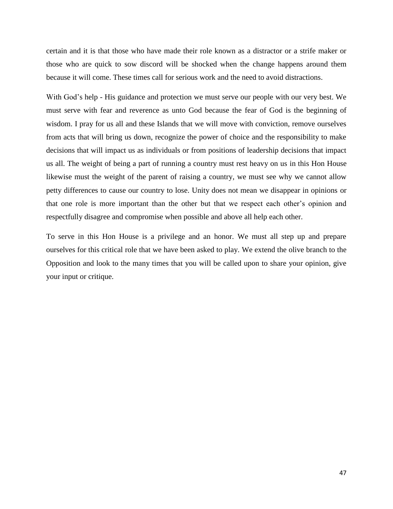certain and it is that those who have made their role known as a distractor or a strife maker or those who are quick to sow discord will be shocked when the change happens around them because it will come. These times call for serious work and the need to avoid distractions.

With God's help - His guidance and protection we must serve our people with our very best. We must serve with fear and reverence as unto God because the fear of God is the beginning of wisdom. I pray for us all and these Islands that we will move with conviction, remove ourselves from acts that will bring us down, recognize the power of choice and the responsibility to make decisions that will impact us as individuals or from positions of leadership decisions that impact us all. The weight of being a part of running a country must rest heavy on us in this Hon House likewise must the weight of the parent of raising a country, we must see why we cannot allow petty differences to cause our country to lose. Unity does not mean we disappear in opinions or that one role is more important than the other but that we respect each other's opinion and respectfully disagree and compromise when possible and above all help each other.

To serve in this Hon House is a privilege and an honor. We must all step up and prepare ourselves for this critical role that we have been asked to play. We extend the olive branch to the Opposition and look to the many times that you will be called upon to share your opinion, give your input or critique.